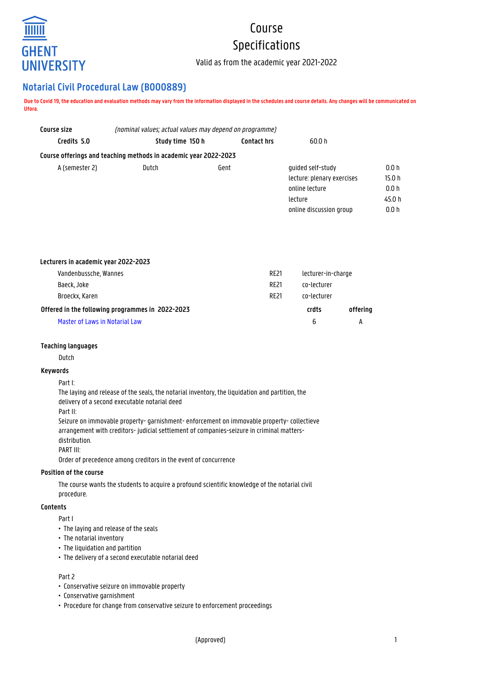

# Course Specifications

Valid as from the academic year 2021-2022

# **Notarial Civil Procedural Law (B000889)**

**Due to Covid 19, the education and evaluation methods may vary from the information displayed in the schedules and course details. Any changes will be communicated on Ufora.**

| Course size    | (nominal values; actual values may depend on programme)          |                    |                            |                   |  |
|----------------|------------------------------------------------------------------|--------------------|----------------------------|-------------------|--|
| Credits 5.0    | Study time 150 h                                                 | <b>Contact hrs</b> | 60.0 h                     |                   |  |
|                | Course offerings and teaching methods in academic year 2022-2023 |                    |                            |                   |  |
| A (semester 2) | Dutch                                                            | Gent               | quided self-study          | 0.0h              |  |
|                |                                                                  |                    | lecture: plenary exercises | 15.0 <sub>h</sub> |  |
|                |                                                                  |                    | online lecture             | 0.0h              |  |
|                |                                                                  |                    | lecture                    | 45.0 h            |  |
|                |                                                                  |                    | online discussion group    | 0.0 h             |  |

| Lecturers in academic year 2022-2023             |             |                    |          |
|--------------------------------------------------|-------------|--------------------|----------|
| Vandenbussche, Wannes                            | <b>RE21</b> | lecturer-in-charge |          |
| Baeck, Joke                                      | <b>RF21</b> | co-lecturer        |          |
| Broeckx, Karen                                   | <b>RF21</b> | co-lecturer        |          |
| Offered in the following programmes in 2022-2023 |             | crdts              | offering |
| Master of Laws in Notarial Law                   |             | 6                  | А        |

# **Teaching languages**

Dutch

# **Keywords**

#### Part I:

The laying and release of the seals, the notarial inventory, the liquidation and partition, the delivery of a second executable notarial deed

Part II:

Seizure on immovable property- garnishment- enforcement on immovable property- collectieve arrangement with creditors- judicial settlement of companies-seizure in criminal mattersdistribution. PART III:

Order of precedence among creditors in the event of concurrence

#### **Position of the course**

The course wants the students to acquire a profound scientific knowledge of the notarial civil procedure.

# **Contents**

Part I

- The laying and release of the seals
- The notarial inventory
- The liquidation and partition
- The delivery of a second executable notarial deed

#### Part 2

- Conservative seizure on immovable property
- Conservative garnishment
- Procedure for change from conservative seizure to enforcement proceedings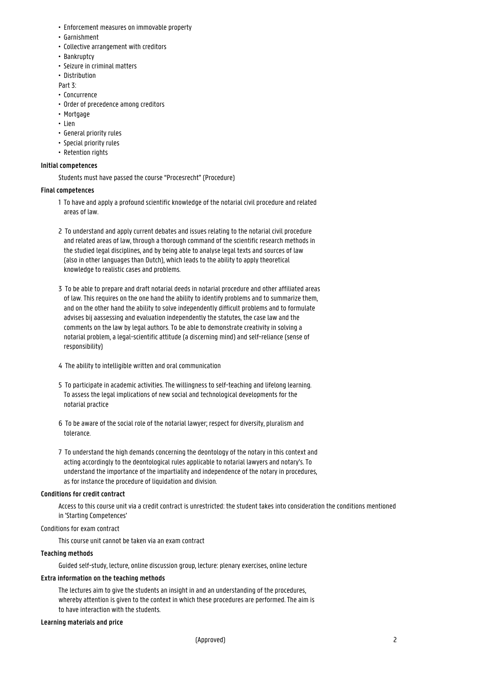- Enforcement measures on immovable property
- Garnishment
- Collective arrangement with creditors
- Bankruptcy
- Seizure in criminal matters
- Distribution

Part 3:

- Concurrence
- Order of precedence among creditors
- Mortgage
- Lien
- General priority rules
- Special priority rules
- Retention rights

#### **Initial competences**

Students must have passed the course "Procesrecht" (Procedure)

#### **Final competences**

- 1 To have and apply a profound scientific knowledge of the notarial civil procedure and related areas of law.
- 2 To understand and apply current debates and issues relating to the notarial civil procedure and related areas of law, through a thorough command of the scientific research methods in the studied legal disciplines, and by being able to analyse legal texts and sources of law (also in other languages than Dutch), which leads to the ability to apply theoretical knowledge to realistic cases and problems.
- 3 To be able to prepare and draft notarial deeds in notarial procedure and other affiliated areas of law. This requires on the one hand the ability to identify problems and to summarize them, and on the other hand the ability to solve independently difficult problems and to formulate advises bij aassessing and evaluation independently the statutes, the case law and the comments on the law by legal authors. To be able to demonstrate creativity in solving a 1 notarial problem, a legal-scientific attitude (a discerning mind) and self-reliance (sense of responsibility)
- 4 The ability to intelligible written and oral communication
- 5 To participate in academic activities. The willingness to self-teaching and lifelong learning. To assess the legal implications of new social and technological developments for the 1 notarial practice
- 6 To be aware of the social role of the notarial lawyer; respect for diversity, pluralism and 1 tolerance.
- 7 To understand the high demands concerning the deontology of the notary in this context and acting accordingly to the deontological rules applicable to notarial lawyers and notary's. To understand the importance of the impartiality and independence of the notary in procedures, as for instance the procedure of liquidation and division.

#### **Conditions for credit contract**

Access to this course unit via a credit contract is unrestricted: the student takes into consideration the conditions mentioned in 'Starting Competences'

#### Conditions for exam contract

This course unit cannot be taken via an exam contract

#### **Teaching methods**

Guided self-study, lecture, online discussion group, lecture: plenary exercises, online lecture

# **Extra information on the teaching methods**

The lectures aim to give the students an insight in and an understanding of the procedures, whereby attention is given to the context in which these procedures are performed. The aim is to have interaction with the students.

#### **Learning materials and price**